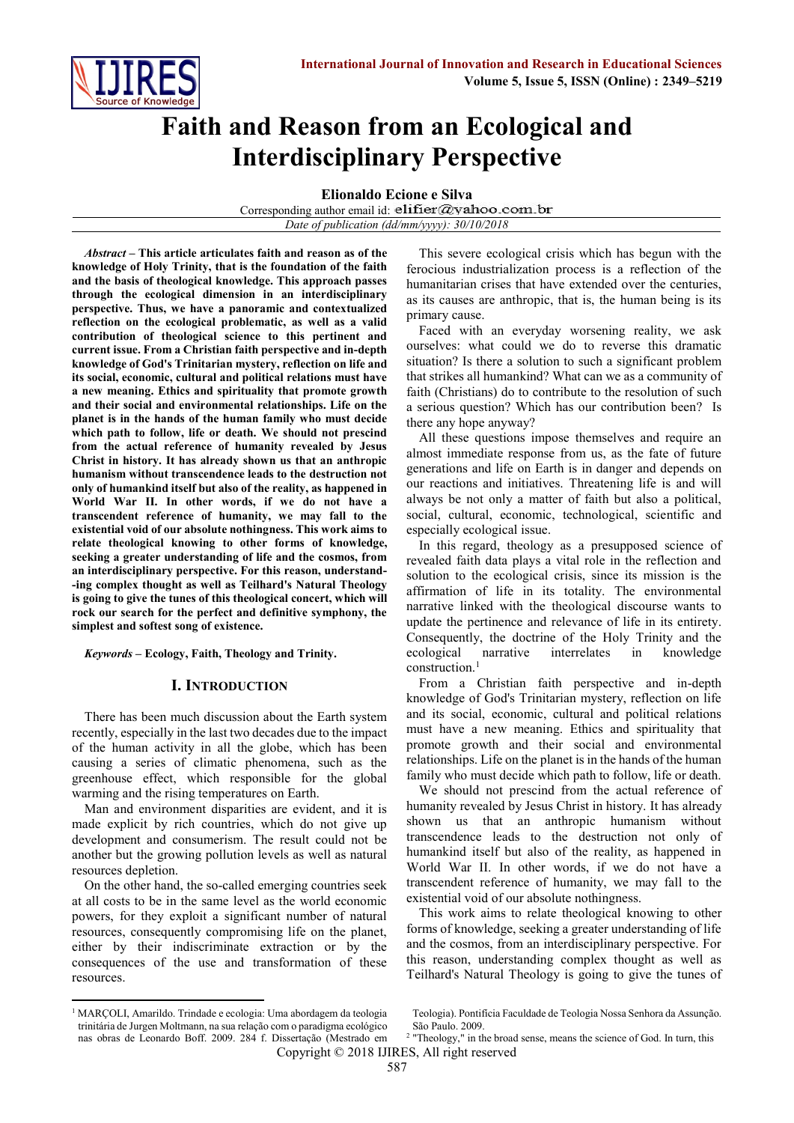

# **Faith and Reason from an Ecological and Interdisciplinary Perspective**

**Elionaldo Ecione e Silva**

Corresponding author email id: elifier@yahoo.com.br *Date of publication (dd/mm/yyyy): 30/10/2018*

*Abstract* **– This article articulates faith and reason as of the knowledge of Holy Trinity, that is the foundation of the faith and the basis of theological knowledge. This approach passes through the ecological dimension in an interdisciplinary perspective. Thus, we have a panoramic and contextualized reflection on the ecological problematic, as well as a valid contribution of theological science to this pertinent and current issue. From a Christian faith perspective and in-depth knowledge of God's Trinitarian mystery, reflection on life and its social, economic, cultural and political relations must have a new meaning. Ethics and spirituality that promote growth and their social and environmental relationships. Life on the planet is in the hands of the human family who must decide which path to follow, life or death. We should not prescind from the actual reference of humanity revealed by Jesus Christ in history. It has already shown us that an anthropic humanism without transcendence leads to the destruction not only of humankind itself but also of the reality, as happened in World War II. In other words, if we do not have a transcendent reference of humanity, we may fall to the existential void of our absolute nothingness. This work aims to relate theological knowing to other forms of knowledge, seeking a greater understanding of life and the cosmos, from an interdisciplinary perspective. For this reason, understand- -ing complex thought as well as Teilhard's Natural Theology is going to give the tunes of this theological concert, which will rock our search for the perfect and definitive symphony, the simplest and softest song of existence.**

*Keywords* **– Ecology, Faith, Theology and Trinity.** 

#### **I. INTRODUCTION**

There has been much discussion about the Earth system recently, especially in the last two decades due to the impact of the human activity in all the globe, which has been causing a series of climatic phenomena, such as the greenhouse effect, which responsible for the global warming and the rising temperatures on Earth.

Man and environment disparities are evident, and it is made explicit by rich countries, which do not give up development and consumerism. The result could not be another but the growing pollution levels as well as natural resources depletion.

On the other hand, the so-called emerging countries seek at all costs to be in the same level as the world economic powers, for they exploit a significant number of natural resources, consequently compromising life on the planet, either by their indiscriminate extraction or by the consequences of the use and transformation of these resources.

This severe ecological crisis which has begun with the ferocious industrialization process is a reflection of the humanitarian crises that have extended over the centuries, as its causes are anthropic, that is, the human being is its primary cause.

Faced with an everyday worsening reality, we ask ourselves: what could we do to reverse this dramatic situation? Is there a solution to such a significant problem that strikes all humankind? What can we as a community of faith (Christians) do to contribute to the resolution of such a serious question? Which has our contribution been? Is there any hope anyway?

All these questions impose themselves and require an almost immediate response from us, as the fate of future generations and life on Earth is in danger and depends on our reactions and initiatives. Threatening life is and will always be not only a matter of faith but also a political, social, cultural, economic, technological, scientific and especially ecological issue.

In this regard, theology as a presupposed science of revealed faith data plays a vital role in the reflection and solution to the ecological crisis, since its mission is the affirmation of life in its totality. The environmental narrative linked with the theological discourse wants to update the pertinence and relevance of life in its entirety. Consequently, the doctrine of the Holy Trinity and the ecological narrative interrelates in knowledge construction.<sup>1</sup>

From a Christian faith perspective and in-depth knowledge of God's Trinitarian mystery, reflection on life and its social, economic, cultural and political relations must have a new meaning. Ethics and spirituality that promote growth and their social and environmental relationships. Life on the planet is in the hands of the human family who must decide which path to follow, life or death.

We should not prescind from the actual reference of humanity revealed by Jesus Christ in history. It has already shown us that an anthropic humanism without transcendence leads to the destruction not only of humankind itself but also of the reality, as happened in World War II. In other words, if we do not have a transcendent reference of humanity, we may fall to the existential void of our absolute nothingness.

This work aims to relate theological knowing to other forms of knowledge, seeking a greater understanding of life and the cosmos, from an interdisciplinary perspective. For this reason, understanding complex thought as well as Teilhard's Natural Theology is going to give the tunes of

1

Teologia). Pontifícia Faculdade de Teologia Nossa Senhora da Assunção. São Paulo. 2009.

<sup>&</sup>lt;sup>1</sup> MARÇOLI, Amarildo. Trindade e ecologia: Uma abordagem da teologia trinitária de Jurgen Moltmann, na sua relação com o paradigma ecológico nas obras de Leonardo Boff. 2009. 284 f. Dissertação (Mestrado em

Copyright © 2018 IJIRES, All right reserved <sup>2</sup> "Theology," in the broad sense, means the science of God. In turn, this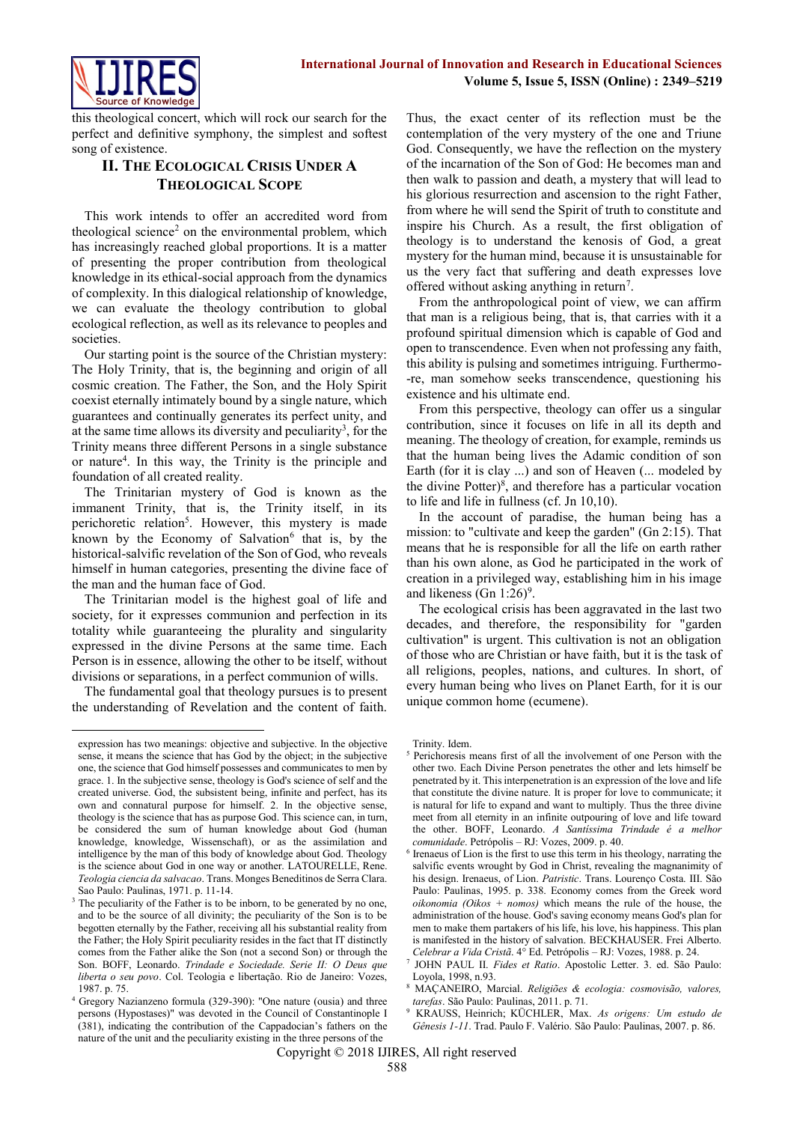

this theological concert, which will rock our search for the perfect and definitive symphony, the simplest and softest song of existence.

## **II. THE ECOLOGICAL CRISIS UNDER A THEOLOGICAL SCOPE**

This work intends to offer an accredited word from theological science<sup>2</sup> on the environmental problem, which has increasingly reached global proportions. It is a matter of presenting the proper contribution from theological knowledge in its ethical-social approach from the dynamics of complexity. In this dialogical relationship of knowledge, we can evaluate the theology contribution to global ecological reflection, as well as its relevance to peoples and societies.

Our starting point is the source of the Christian mystery: The Holy Trinity, that is, the beginning and origin of all cosmic creation. The Father, the Son, and the Holy Spirit coexist eternally intimately bound by a single nature, which guarantees and continually generates its perfect unity, and at the same time allows its diversity and peculiarity<sup>3</sup>, for the Trinity means three different Persons in a single substance or nature<sup>4</sup> . In this way, the Trinity is the principle and foundation of all created reality.

The Trinitarian mystery of God is known as the immanent Trinity, that is, the Trinity itself, in its perichoretic relation<sup>5</sup>. However, this mystery is made known by the Economy of Salvation $6$  that is, by the historical-salvific revelation of the Son of God, who reveals himself in human categories, presenting the divine face of the man and the human face of God.

The Trinitarian model is the highest goal of life and society, for it expresses communion and perfection in its totality while guaranteeing the plurality and singularity expressed in the divine Persons at the same time. Each Person is in essence, allowing the other to be itself, without divisions or separations, in a perfect communion of wills.

The fundamental goal that theology pursues is to present the understanding of Revelation and the content of faith.

 $\overline{a}$ 

Thus, the exact center of its reflection must be the contemplation of the very mystery of the one and Triune God. Consequently, we have the reflection on the mystery of the incarnation of the Son of God: He becomes man and then walk to passion and death, a mystery that will lead to his glorious resurrection and ascension to the right Father, from where he will send the Spirit of truth to constitute and inspire his Church. As a result, the first obligation of theology is to understand the kenosis of God, a great mystery for the human mind, because it is unsustainable for us the very fact that suffering and death expresses love offered without asking anything in return<sup>7</sup>.

From the anthropological point of view, we can affirm that man is a religious being, that is, that carries with it a profound spiritual dimension which is capable of God and open to transcendence. Even when not professing any faith, this ability is pulsing and sometimes intriguing. Furthermo- -re, man somehow seeks transcendence, questioning his existence and his ultimate end.

From this perspective, theology can offer us a singular contribution, since it focuses on life in all its depth and meaning. The theology of creation, for example, reminds us that the human being lives the Adamic condition of son Earth (for it is clay ...) and son of Heaven (... modeled by the divine Potter) $\delta$ , and therefore has a particular vocation to life and life in fullness (cf. Jn 10,10).

In the account of paradise, the human being has a mission: to "cultivate and keep the garden" (Gn 2:15). That means that he is responsible for all the life on earth rather than his own alone, as God he participated in the work of creation in a privileged way, establishing him in his image and likeness (Gn  $1:26$ <sup>9</sup>.

The ecological crisis has been aggravated in the last two decades, and therefore, the responsibility for "garden cultivation" is urgent. This cultivation is not an obligation of those who are Christian or have faith, but it is the task of all religions, peoples, nations, and cultures. In short, of every human being who lives on Planet Earth, for it is our unique common home (ecumene).

expression has two meanings: objective and subjective. In the objective sense, it means the science that has God by the object; in the subjective one, the science that God himself possesses and communicates to men by grace. 1. In the subjective sense, theology is God's science of self and the created universe. God, the subsistent being, infinite and perfect, has its own and connatural purpose for himself. 2. In the objective sense, theology is the science that has as purpose God. This science can, in turn, be considered the sum of human knowledge about God (human knowledge, knowledge, Wissenschaft), or as the assimilation and intelligence by the man of this body of knowledge about God. Theology is the science about God in one way or another. LATOURELLE, Rene. *Teologia ciencia da salvacao*. Trans. Monges Beneditinos de Serra Clara. Sao Paulo: Paulinas, 1971. p. 11-14.

<sup>&</sup>lt;sup>3</sup> The peculiarity of the Father is to be inborn, to be generated by no one, and to be the source of all divinity; the peculiarity of the Son is to be begotten eternally by the Father, receiving all his substantial reality from the Father; the Holy Spirit peculiarity resides in the fact that IT distinctly comes from the Father alike the Son (not a second Son) or through the Son. BOFF, Leonardo. *Trindade e Sociedade. Serie II: O Deus que liberta o seu povo*. Col. Teologia e libertação. Rio de Janeiro: Vozes, 1987. p. 75.

<sup>4</sup> Gregory Nazianzeno formula (329-390): "One nature (ousia) and three persons (Hypostases)" was devoted in the Council of Constantinople I (381), indicating the contribution of the Cappadocian's fathers on the nature of the unit and the peculiarity existing in the three persons of the

Trinity. Idem.

<sup>&</sup>lt;sup>5</sup> Perichoresis means first of all the involvement of one Person with the other two. Each Divine Person penetrates the other and lets himself be penetrated by it. This interpenetration is an expression of the love and life that constitute the divine nature. It is proper for love to communicate; it is natural for life to expand and want to multiply. Thus the three divine meet from all eternity in an infinite outpouring of love and life toward the other. BOFF, Leonardo. *A Santíssima Trindade é a melhor comunidade*. Petrópolis – RJ: Vozes, 2009. p. 40.

<sup>&</sup>lt;sup>6</sup> Irenaeus of Lion is the first to use this term in his theology, narrating the salvific events wrought by God in Christ, revealing the magnanimity of his design. Irenaeus, of Lion. *Patristic*. Trans. Lourenço Costa. III. São Paulo: Paulinas, 1995. p. 338. Economy comes from the Greek word *oikonomia (Oikos + nomos)* which means the rule of the house, the administration of the house. God's saving economy means God's plan for men to make them partakers of his life, his love, his happiness. This plan is manifested in the history of salvation. BECKHAUSER. Frei Alberto. *Celebrar a Vida Cristã*. 4° Ed. Petrópolis – RJ: Vozes, 1988. p. 24.

<sup>7</sup> JOHN PAUL II. *Fides et Ratio*. Apostolic Letter. 3. ed. São Paulo: Loyola, 1998, n.93.

<sup>8</sup> MAÇANEIRO, Marcial. *Religiões & ecologia: cosmovisão, valores, tarefas*. São Paulo: Paulinas, 2011. p. 71.

<sup>9</sup> KRAUSS, Heinrich; KÜCHLER, Max. *As origens: Um estudo de Gênesis 1-11*. Trad. Paulo F. Valério. São Paulo: Paulinas, 2007. p. 86.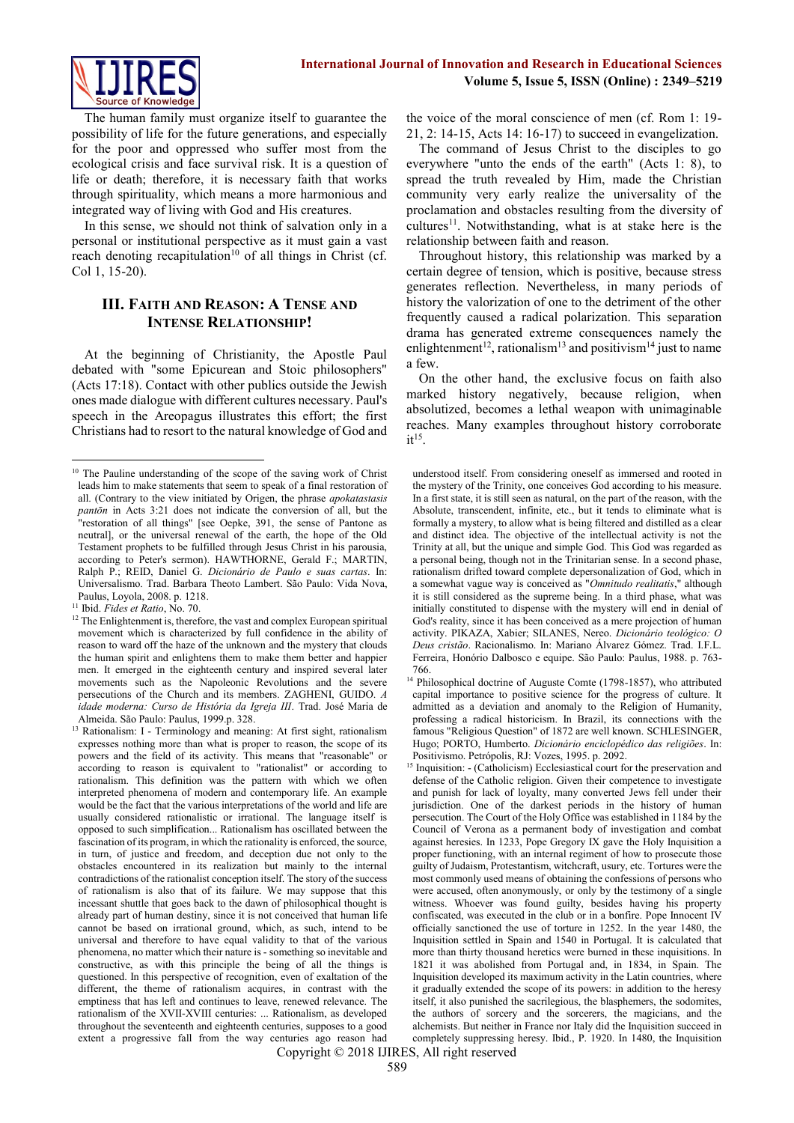

The human family must organize itself to guarantee the possibility of life for the future generations, and especially for the poor and oppressed who suffer most from the ecological crisis and face survival risk. It is a question of life or death; therefore, it is necessary faith that works through spirituality, which means a more harmonious and integrated way of living with God and His creatures.

In this sense, we should not think of salvation only in a personal or institutional perspective as it must gain a vast reach denoting recapitulation<sup>10</sup> of all things in Christ (cf. Col 1, 15-20).

## **III. FAITH AND REASON: A TENSE AND INTENSE RELATIONSHIP!**

At the beginning of Christianity, the Apostle Paul debated with "some Epicurean and Stoic philosophers" (Acts 17:18). Contact with other publics outside the Jewish ones made dialogue with different cultures necessary. Paul's speech in the Areopagus illustrates this effort; the first Christians had to resort to the natural knowledge of God and

the voice of the moral conscience of men (cf. Rom 1: 19- 21, 2: 14-15, Acts 14: 16-17) to succeed in evangelization.

The command of Jesus Christ to the disciples to go everywhere "unto the ends of the earth" (Acts 1: 8), to spread the truth revealed by Him, made the Christian community very early realize the universality of the proclamation and obstacles resulting from the diversity of  $cultures<sup>11</sup>$ . Notwithstanding, what is at stake here is the relationship between faith and reason.

Throughout history, this relationship was marked by a certain degree of tension, which is positive, because stress generates reflection. Nevertheless, in many periods of history the valorization of one to the detriment of the other frequently caused a radical polarization. This separation drama has generated extreme consequences namely the enlightenment<sup>12</sup>, rationalism<sup>13</sup> and positivism<sup>14</sup> just to name a few.

On the other hand, the exclusive focus on faith also marked history negatively, because religion, when absolutized, becomes a lethal weapon with unimaginable reaches. Many examples throughout history corroborate  $it^{15}$ .

<sup>1</sup> <sup>10</sup> The Pauline understanding of the scope of the saving work of Christ leads him to make statements that seem to speak of a final restoration of all. (Contrary to the view initiated by Origen, the phrase *apokatastasis pantōn* in Acts 3:21 does not indicate the conversion of all, but the "restoration of all things" [see Oepke, 391, the sense of Pantone as neutral], or the universal renewal of the earth, the hope of the Old Testament prophets to be fulfilled through Jesus Christ in his parousia, according to Peter's sermon). HAWTHORNE, Gerald F.; MARTIN, Ralph P.; REID, Daniel G. *Dicionário de Paulo e suas cartas*. In: Universalismo. Trad. Barbara Theoto Lambert. São Paulo: Vida Nova, Paulus, Loyola, 2008. p. 1218.

<sup>11</sup> Ibid. *Fides et Ratio*, No. 70.

<sup>&</sup>lt;sup>12</sup> The Enlightenment is, therefore, the vast and complex European spiritual movement which is characterized by full confidence in the ability of reason to ward off the haze of the unknown and the mystery that clouds the human spirit and enlightens them to make them better and happier men. It emerged in the eighteenth century and inspired several later movements such as the Napoleonic Revolutions and the severe persecutions of the Church and its members. ZAGHENI, GUIDO. *A idade moderna: Curso de História da Igreja III*. Trad. José Maria de Almeida. São Paulo: Paulus, 1999.p. 328.

<sup>&</sup>lt;sup>13</sup> Rationalism: I - Terminology and meaning: At first sight, rationalism expresses nothing more than what is proper to reason, the scope of its powers and the field of its activity. This means that "reasonable" or according to reason is equivalent to "rationalist" or according to rationalism. This definition was the pattern with which we often interpreted phenomena of modern and contemporary life. An example would be the fact that the various interpretations of the world and life are usually considered rationalistic or irrational. The language itself is opposed to such simplification... Rationalism has oscillated between the fascination of its program, in which the rationality is enforced, the source, in turn, of justice and freedom, and deception due not only to the obstacles encountered in its realization but mainly to the internal contradictions of the rationalist conception itself. The story of the success of rationalism is also that of its failure. We may suppose that this incessant shuttle that goes back to the dawn of philosophical thought is already part of human destiny, since it is not conceived that human life cannot be based on irrational ground, which, as such, intend to be universal and therefore to have equal validity to that of the various phenomena, no matter which their nature is - something so inevitable and constructive, as with this principle the being of all the things is questioned. In this perspective of recognition, even of exaltation of the different, the theme of rationalism acquires, in contrast with the emptiness that has left and continues to leave, renewed relevance. The rationalism of the XVII-XVIII centuries: ... Rationalism, as developed throughout the seventeenth and eighteenth centuries, supposes to a good extent a progressive fall from the way centuries ago reason had

understood itself. From considering oneself as immersed and rooted in the mystery of the Trinity, one conceives God according to his measure. In a first state, it is still seen as natural, on the part of the reason, with the Absolute, transcendent, infinite, etc., but it tends to eliminate what is formally a mystery, to allow what is being filtered and distilled as a clear and distinct idea. The objective of the intellectual activity is not the Trinity at all, but the unique and simple God. This God was regarded as a personal being, though not in the Trinitarian sense. In a second phase, rationalism drifted toward complete depersonalization of God, which in a somewhat vague way is conceived as "*Omnitudo realitatis*," although it is still considered as the supreme being. In a third phase, what was initially constituted to dispense with the mystery will end in denial of God's reality, since it has been conceived as a mere projection of human activity. PIKAZA, Xabier; SILANES, Nereo. *Dicionário teológico: O Deus cristão*. Racionalismo. In: Mariano Álvarez Gómez. Trad. I.F.L. Ferreira, Honório Dalbosco e equipe. São Paulo: Paulus, 1988. p. 763- 766.

<sup>&</sup>lt;sup>14</sup> Philosophical doctrine of Auguste Comte (1798-1857), who attributed capital importance to positive science for the progress of culture. It admitted as a deviation and anomaly to the Religion of Humanity, professing a radical historicism. In Brazil, its connections with the famous "Religious Question" of 1872 are well known. SCHLESINGER, Hugo; PORTO, Humberto. *Dicionário enciclopédico das religiões*. In: Positivismo. Petrópolis, RJ: Vozes, 1995. p. 2092.

<sup>&</sup>lt;sup>15</sup> Inquisition: - (Catholicism) Ecclesiastical court for the preservation and defense of the Catholic religion. Given their competence to investigate and punish for lack of loyalty, many converted Jews fell under their jurisdiction. One of the darkest periods in the history of human persecution. The Court of the Holy Office was established in 1184 by the Council of Verona as a permanent body of investigation and combat against heresies. In 1233, Pope Gregory IX gave the Holy Inquisition a proper functioning, with an internal regiment of how to prosecute those guilty of Judaism, Protestantism, witchcraft, usury, etc. Tortures were the most commonly used means of obtaining the confessions of persons who were accused, often anonymously, or only by the testimony of a single witness. Whoever was found guilty, besides having his property confiscated, was executed in the club or in a bonfire. Pope Innocent IV officially sanctioned the use of torture in 1252. In the year 1480, the Inquisition settled in Spain and 1540 in Portugal. It is calculated that more than thirty thousand heretics were burned in these inquisitions. In 1821 it was abolished from Portugal and, in 1834, in Spain. The Inquisition developed its maximum activity in the Latin countries, where it gradually extended the scope of its powers: in addition to the heresy itself, it also punished the sacrilegious, the blasphemers, the sodomites, the authors of sorcery and the sorcerers, the magicians, and the alchemists. But neither in France nor Italy did the Inquisition succeed in completely suppressing heresy. Ibid., P. 1920. In 1480, the Inquisition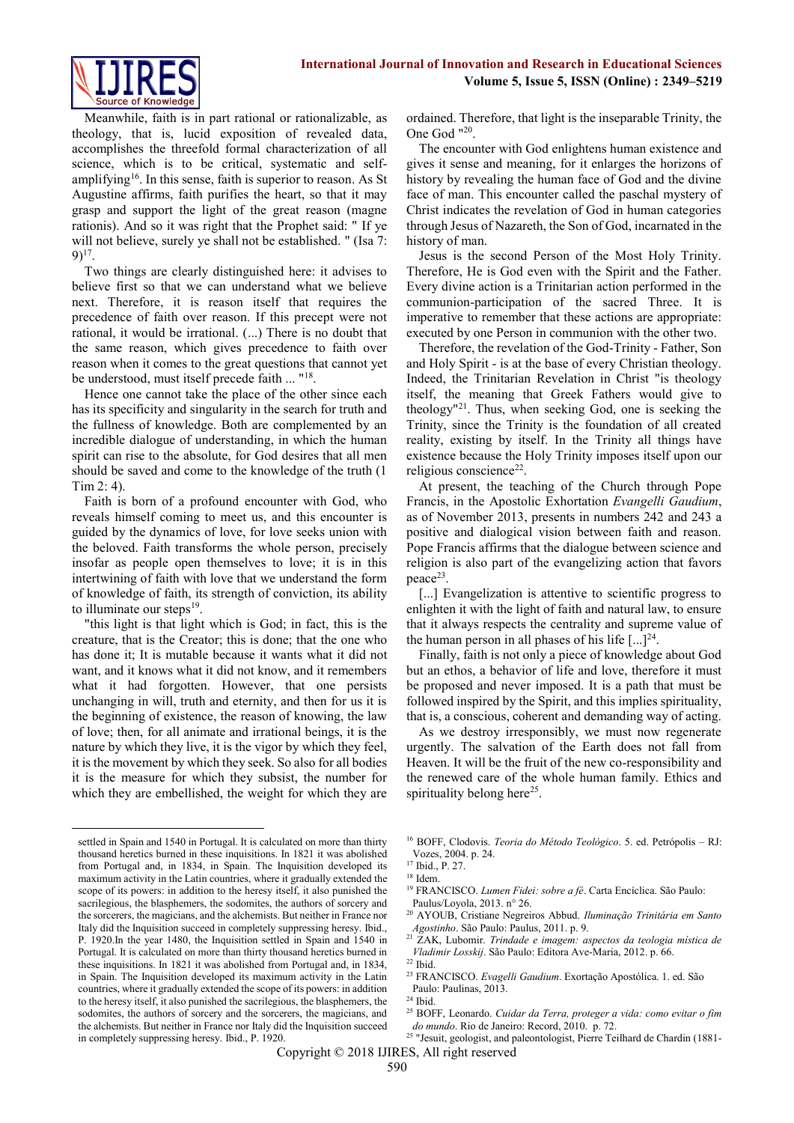Meanwhile, faith is in part rational or rationalizable, as theology, that is, lucid exposition of revealed data, accomplishes the threefold formal characterization of all science, which is to be critical, systematic and selfamplifying<sup>16</sup>. In this sense, faith is superior to reason. As St Augustine affirms, faith purifies the heart, so that it may grasp and support the light of the great reason (magne rationis). And so it was right that the Prophet said: " If ye will not believe, surely ye shall not be established. " (Isa 7:  $9)$ <sup>17</sup>.

Two things are clearly distinguished here: it advises to believe first so that we can understand what we believe next. Therefore, it is reason itself that requires the precedence of faith over reason. If this precept were not rational, it would be irrational. (...) There is no doubt that the same reason, which gives precedence to faith over reason when it comes to the great questions that cannot yet be understood, must itself precede faith ... "<sup>18</sup>.

Hence one cannot take the place of the other since each has its specificity and singularity in the search for truth and the fullness of knowledge. Both are complemented by an incredible dialogue of understanding, in which the human spirit can rise to the absolute, for God desires that all men should be saved and come to the knowledge of the truth (1 Tim 2: 4).

Faith is born of a profound encounter with God, who reveals himself coming to meet us, and this encounter is guided by the dynamics of love, for love seeks union with the beloved. Faith transforms the whole person, precisely insofar as people open themselves to love; it is in this intertwining of faith with love that we understand the form of knowledge of faith, its strength of conviction, its ability to illuminate our steps<sup>19</sup>.

"this light is that light which is God; in fact, this is the creature, that is the Creator; this is done; that the one who has done it; It is mutable because it wants what it did not want, and it knows what it did not know, and it remembers what it had forgotten. However, that one persists unchanging in will, truth and eternity, and then for us it is the beginning of existence, the reason of knowing, the law of love; then, for all animate and irrational beings, it is the nature by which they live, it is the vigor by which they feel, it is the movement by which they seek. So also for all bodies it is the measure for which they subsist, the number for which they are embellished, the weight for which they are

**.** 

ordained. Therefore, that light is the inseparable Trinity, the One God "<sup>20</sup>.

The encounter with God enlightens human existence and gives it sense and meaning, for it enlarges the horizons of history by revealing the human face of God and the divine face of man. This encounter called the paschal mystery of Christ indicates the revelation of God in human categories through Jesus of Nazareth, the Son of God, incarnated in the history of man.

Jesus is the second Person of the Most Holy Trinity. Therefore, He is God even with the Spirit and the Father. Every divine action is a Trinitarian action performed in the communion-participation of the sacred Three. It is imperative to remember that these actions are appropriate: executed by one Person in communion with the other two.

Therefore, the revelation of the God-Trinity - Father, Son and Holy Spirit - is at the base of every Christian theology. Indeed, the Trinitarian Revelation in Christ "is theology itself, the meaning that Greek Fathers would give to theology"<sup>21</sup>. Thus, when seeking God, one is seeking the Trinity, since the Trinity is the foundation of all created reality, existing by itself. In the Trinity all things have existence because the Holy Trinity imposes itself upon our religious conscience<sup>22</sup>.

At present, the teaching of the Church through Pope Francis, in the Apostolic Exhortation *Evangelli Gaudium*, as of November 2013, presents in numbers 242 and 243 a positive and dialogical vision between faith and reason. Pope Francis affirms that the dialogue between science and religion is also part of the evangelizing action that favors peace<sup>23</sup>.

[...] Evangelization is attentive to scientific progress to enlighten it with the light of faith and natural law, to ensure that it always respects the centrality and supreme value of the human person in all phases of his life  $[...]^{24}$ .

Finally, faith is not only a piece of knowledge about God but an ethos, a behavior of life and love, therefore it must be proposed and never imposed. It is a path that must be followed inspired by the Spirit, and this implies spirituality, that is, a conscious, coherent and demanding way of acting.

As we destroy irresponsibly, we must now regenerate urgently. The salvation of the Earth does not fall from Heaven. It will be the fruit of the new co-responsibility and the renewed care of the whole human family. Ethics and spirituality belong here<sup>25</sup>.

<sup>20</sup> AYOUB, Cristiane Negreiros Abbud. *Iluminação Trinitária em Santo Agostinho*. São Paulo: Paulus, 2011. p. 9.

<sup>23</sup> FRANCISCO. *Evagelli Gaudium*. Exortação Apostólica. 1. ed. São Paulo: Paulinas, 2013.

settled in Spain and 1540 in Portugal. It is calculated on more than thirty thousand heretics burned in these inquisitions. In 1821 it was abolished from Portugal and, in 1834, in Spain. The Inquisition developed its maximum activity in the Latin countries, where it gradually extended the scope of its powers: in addition to the heresy itself, it also punished the sacrilegious, the blasphemers, the sodomites, the authors of sorcery and the sorcerers, the magicians, and the alchemists. But neither in France nor Italy did the Inquisition succeed in completely suppressing heresy. Ibid., P. 1920.In the year 1480, the Inquisition settled in Spain and 1540 in Portugal. It is calculated on more than thirty thousand heretics burned in these inquisitions. In 1821 it was abolished from Portugal and, in 1834, in Spain. The Inquisition developed its maximum activity in the Latin countries, where it gradually extended the scope of its powers: in addition to the heresy itself, it also punished the sacrilegious, the blasphemers, the sodomites, the authors of sorcery and the sorcerers, the magicians, and the alchemists. But neither in France nor Italy did the Inquisition succeed in completely suppressing heresy. Ibid., P. 1920.

<sup>16</sup> BOFF, Clodovis. *Teoria do Método Teológico*. 5. ed. Petrópolis – RJ: Vozes, 2004. p. 24.

<sup>17</sup> Ibid., P. 27.

<sup>18</sup> Idem.

<sup>19</sup> FRANCISCO. *Lumen Fidei: sobre a fé*. Carta Encíclica. São Paulo: Paulus/Loyola, 2013. n° 26.

<sup>21</sup> ZAK, Lubomir. *Trindade e imagem: aspectos da teologia mística de Vladimir Losskij*. São Paulo: Editora Ave-Maria, 2012. p. 66.  $22$  Ibid.

<sup>24</sup> Ibid.

<sup>25</sup> BOFF, Leonardo. *Cuidar da Terra, proteger a vida: como evitar o fim do mundo*. Rio de Janeiro: Record, 2010. p. 72.

Copyright © 2018 IJIRES, All right reserved <sup>25</sup> "Jesuit, geologist, and paleontologist, Pierre Teilhard de Chardin (1881-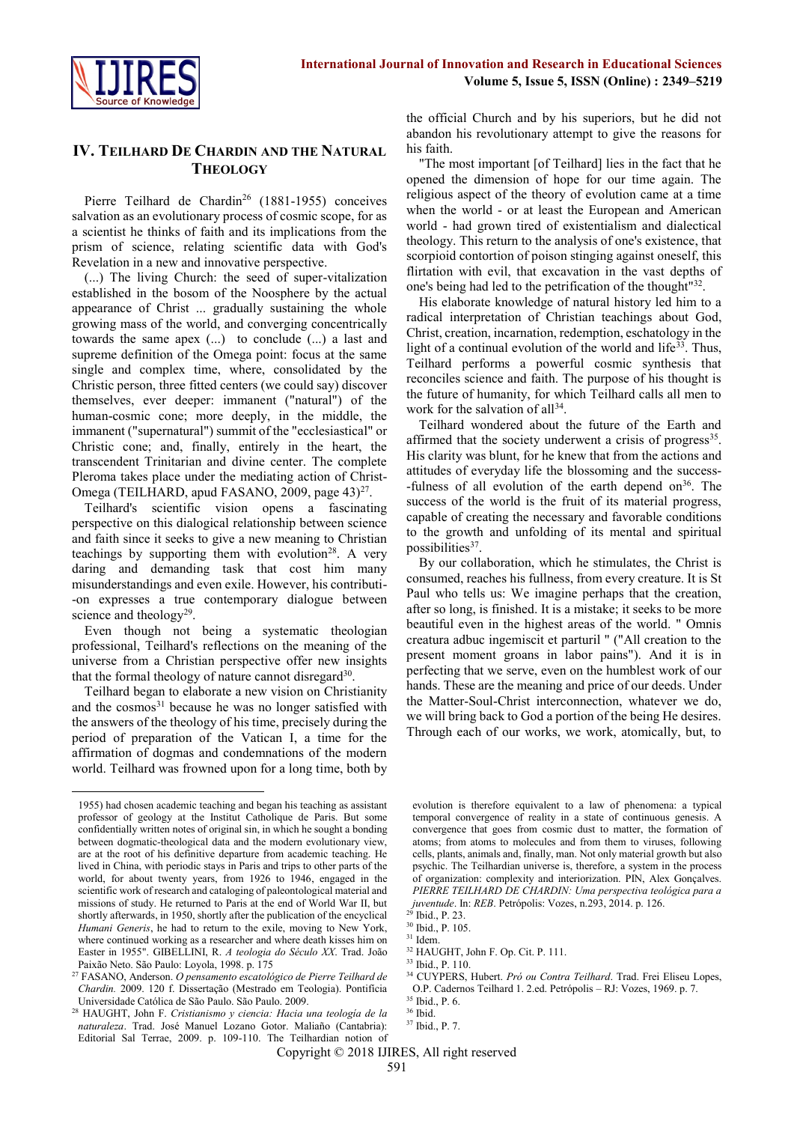

### **IV. TEILHARD DE CHARDIN AND THE NATURAL THEOLOGY**

Pierre Teilhard de Chardin<sup>26</sup> (1881-1955) conceives salvation as an evolutionary process of cosmic scope, for as a scientist he thinks of faith and its implications from the prism of science, relating scientific data with God's Revelation in a new and innovative perspective.

(...) The living Church: the seed of super-vitalization established in the bosom of the Noosphere by the actual appearance of Christ ... gradually sustaining the whole growing mass of the world, and converging concentrically towards the same apex (...) to conclude (...) a last and supreme definition of the Omega point: focus at the same single and complex time, where, consolidated by the Christic person, three fitted centers (we could say) discover themselves, ever deeper: immanent ("natural") of the human-cosmic cone; more deeply, in the middle, the immanent ("supernatural") summit of the "ecclesiastical" or Christic cone; and, finally, entirely in the heart, the transcendent Trinitarian and divine center. The complete Pleroma takes place under the mediating action of Christ-Omega (TEILHARD, apud FASANO, 2009, page 43)<sup>27</sup>.

Teilhard's scientific vision opens a fascinating perspective on this dialogical relationship between science and faith since it seeks to give a new meaning to Christian teachings by supporting them with evolution<sup>28</sup>. A very daring and demanding task that cost him many misunderstandings and even exile. However, his contributi- -on expresses a true contemporary dialogue between science and theology<sup>29</sup>.

Even though not being a systematic theologian professional, Teilhard's reflections on the meaning of the universe from a Christian perspective offer new insights that the formal theology of nature cannot disregard<sup>30</sup>.

Teilhard began to elaborate a new vision on Christianity and the cosmos<sup>31</sup> because he was no longer satisfied with the answers of the theology of his time, precisely during the period of preparation of the Vatican I, a time for the affirmation of dogmas and condemnations of the modern world. Teilhard was frowned upon for a long time, both by

1

the official Church and by his superiors, but he did not abandon his revolutionary attempt to give the reasons for his faith.

"The most important [of Teilhard] lies in the fact that he opened the dimension of hope for our time again. The religious aspect of the theory of evolution came at a time when the world - or at least the European and American world - had grown tired of existentialism and dialectical theology. This return to the analysis of one's existence, that scorpioid contortion of poison stinging against oneself, this flirtation with evil, that excavation in the vast depths of one's being had led to the petrification of the thought" 32 .

His elaborate knowledge of natural history led him to a radical interpretation of Christian teachings about God, Christ, creation, incarnation, redemption, eschatology in the light of a continual evolution of the world and life $33$ . Thus, Teilhard performs a powerful cosmic synthesis that reconciles science and faith. The purpose of his thought is the future of humanity, for which Teilhard calls all men to work for the salvation of all<sup>34</sup>.

Teilhard wondered about the future of the Earth and affirmed that the society underwent a crisis of progress<sup>35</sup>. His clarity was blunt, for he knew that from the actions and attitudes of everyday life the blossoming and the success- -fulness of all evolution of the earth depend on  $36$ . The success of the world is the fruit of its material progress, capable of creating the necessary and favorable conditions to the growth and unfolding of its mental and spiritual possibilities<sup>37</sup>.

By our collaboration, which he stimulates, the Christ is consumed, reaches his fullness, from every creature. It is St Paul who tells us: We imagine perhaps that the creation, after so long, is finished. It is a mistake; it seeks to be more beautiful even in the highest areas of the world. " Omnis creatura adbuc ingemiscit et parturil " ("All creation to the present moment groans in labor pains"). And it is in perfecting that we serve, even on the humblest work of our hands. These are the meaning and price of our deeds. Under the Matter-Soul-Christ interconnection, whatever we do, we will bring back to God a portion of the being He desires. Through each of our works, we work, atomically, but, to

<sup>33</sup> Ibid., P. 110.

<sup>1955)</sup> had chosen academic teaching and began his teaching as assistant professor of geology at the Institut Catholique de Paris. But some confidentially written notes of original sin, in which he sought a bonding between dogmatic-theological data and the modern evolutionary view, are at the root of his definitive departure from academic teaching. He lived in China, with periodic stays in Paris and trips to other parts of the world, for about twenty years, from 1926 to 1946, engaged in the scientific work of research and cataloging of paleontological material and missions of study. He returned to Paris at the end of World War II, but shortly afterwards, in 1950, shortly after the publication of the encyclical *Humani Generis*, he had to return to the exile, moving to New York, where continued working as a researcher and where death kisses him on Easter in 1955". GIBELLINI, R. *A teologia do Século XX*. Trad. João Paixão Neto. São Paulo: Loyola, 1998. p. 175

<sup>27</sup> FASANO, Anderson. *O pensamento escatológico de Pierre Teilhard de Chardin.* 2009. 120 f. Dissertação (Mestrado em Teologia). Pontifícia Universidade Católica de São Paulo. São Paulo. 2009.

<sup>28</sup> HAUGHT, John F. *Cristianismo y ciencia: Hacia una teología de la naturaleza*. Trad. José Manuel Lozano Gotor. Maliaño (Cantabria): Editorial Sal Terrae, 2009. p. 109-110. The Teilhardian notion of

evolution is therefore equivalent to a law of phenomena: a typical temporal convergence of reality in a state of continuous genesis. A convergence that goes from cosmic dust to matter, the formation of atoms; from atoms to molecules and from them to viruses, following cells, plants, animals and, finally, man. Not only material growth but also psychic. The Teilhardian universe is, therefore, a system in the process of organization: complexity and interiorization. PIN, Alex Gonçalves. *PIERRE TEILHARD DE CHARDIN: Uma perspectiva teológica para a juventude*. In: *REB*. Petrópolis: Vozes, n.293, 2014. p. 126.

Ibid., P. 23.

<sup>30</sup> Ibid., P. 105.

<sup>31</sup> Idem.

<sup>32</sup> HAUGHT, John F. Op. Cit. P. 111.

<sup>34</sup> CUYPERS, Hubert. *Pró ou Contra Teilhard*. Trad. Frei Eliseu Lopes, O.P. Cadernos Teilhard 1. 2.ed. Petrópolis – RJ: Vozes, 1969. p. 7.

<sup>35</sup> Ibid., P. 6.

<sup>36</sup> Ibid.

<sup>37</sup> Ibid., P. 7.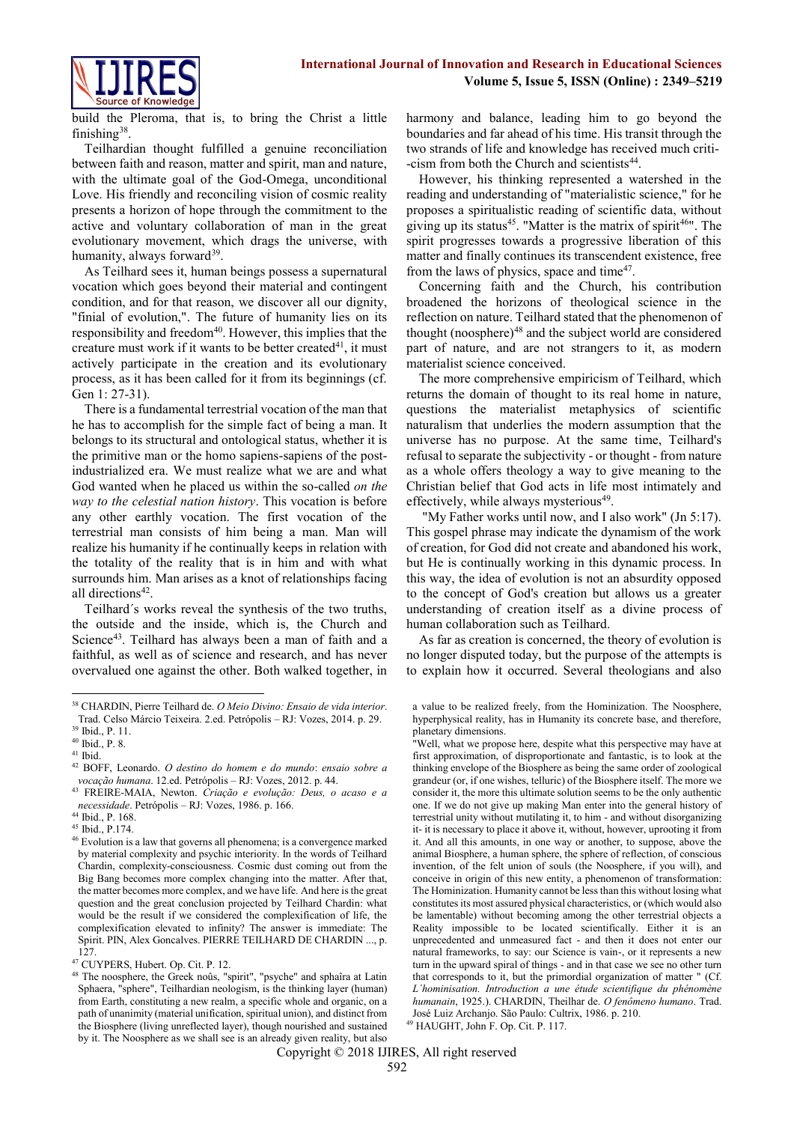

build the Pleroma, that is, to bring the Christ a little finishing<sup>38</sup>.

Teilhardian thought fulfilled a genuine reconciliation between faith and reason, matter and spirit, man and nature, with the ultimate goal of the God-Omega, unconditional Love. His friendly and reconciling vision of cosmic reality presents a horizon of hope through the commitment to the active and voluntary collaboration of man in the great evolutionary movement, which drags the universe, with humanity, always forward<sup>39</sup>.

As Teilhard sees it, human beings possess a supernatural vocation which goes beyond their material and contingent condition, and for that reason, we discover all our dignity, "finial of evolution,". The future of humanity lies on its responsibility and freedom $40$ . However, this implies that the creature must work if it wants to be better created  $41$ , it must actively participate in the creation and its evolutionary process, as it has been called for it from its beginnings (cf. Gen 1: 27-31).

There is a fundamental terrestrial vocation of the man that he has to accomplish for the simple fact of being a man. It belongs to its structural and ontological status, whether it is the primitive man or the homo sapiens-sapiens of the postindustrialized era. We must realize what we are and what God wanted when he placed us within the so-called *on the way to the celestial nation history*. This vocation is before any other earthly vocation. The first vocation of the terrestrial man consists of him being a man. Man will realize his humanity if he continually keeps in relation with the totality of the reality that is in him and with what surrounds him. Man arises as a knot of relationships facing all directions<sup>42</sup>.

Teilhard´s works reveal the synthesis of the two truths, the outside and the inside, which is, the Church and Science<sup>43</sup>. Teilhard has always been a man of faith and a faithful, as well as of science and research, and has never overvalued one against the other. Both walked together, in harmony and balance, leading him to go beyond the boundaries and far ahead of his time. His transit through the two strands of life and knowledge has received much criti- -cism from both the Church and scientists<sup>44</sup>.

However, his thinking represented a watershed in the reading and understanding of "materialistic science," for he proposes a spiritualistic reading of scientific data, without giving up its status<sup>45</sup>. "Matter is the matrix of spirit<sup>46</sup>". The spirit progresses towards a progressive liberation of this matter and finally continues its transcendent existence, free from the laws of physics, space and time<sup>47</sup>.

Concerning faith and the Church, his contribution broadened the horizons of theological science in the reflection on nature. Teilhard stated that the phenomenon of thought (noosphere) $48$  and the subject world are considered part of nature, and are not strangers to it, as modern materialist science conceived.

The more comprehensive empiricism of Teilhard, which returns the domain of thought to its real home in nature, questions the materialist metaphysics of scientific naturalism that underlies the modern assumption that the universe has no purpose. At the same time, Teilhard's refusal to separate the subjectivity - or thought - from nature as a whole offers theology a way to give meaning to the Christian belief that God acts in life most intimately and effectively, while always mysterious<sup>49</sup>.

"My Father works until now, and I also work" (Jn 5:17). This gospel phrase may indicate the dynamism of the work of creation, for God did not create and abandoned his work, but He is continually working in this dynamic process. In this way, the idea of evolution is not an absurdity opposed to the concept of God's creation but allows us a greater understanding of creation itself as a divine process of human collaboration such as Teilhard.

As far as creation is concerned, the theory of evolution is no longer disputed today, but the purpose of the attempts is to explain how it occurred. Several theologians and also

**<sup>.</sup>** <sup>38</sup> CHARDIN, Pierre Teilhard de. *O Meio Divino: Ensaio de vida interior*. Trad. Celso Márcio Teixeira. 2.ed. Petrópolis – RJ: Vozes, 2014. p. 29.

<sup>39</sup> Ibid., P. 11.

<sup>40</sup> Ibid., P. 8.

<sup>41</sup> Ibid.

<sup>42</sup> BOFF, Leonardo. *O destino do homem e do mundo*: *ensaio sobre a vocação humana*. 12.ed. Petrópolis – RJ: Vozes, 2012. p. 44.

<sup>43</sup> FREIRE-MAIA, Newton. *Criação e evolução: Deus, o acaso e a necessidade*. Petrópolis – RJ: Vozes, 1986. p. 166.

<sup>44</sup> Ibid., P. 168.

<sup>45</sup> Ibid., P.174.

<sup>46</sup> Evolution is a law that governs all phenomena; is a convergence marked by material complexity and psychic interiority. In the words of Teilhard Chardin, complexity-consciousness. Cosmic dust coming out from the Big Bang becomes more complex changing into the matter. After that, the matter becomes more complex, and we have life. And here is the great question and the great conclusion projected by Teilhard Chardin: what would be the result if we considered the complexification of life, the complexification elevated to infinity? The answer is immediate: The Spirit. PIN, Alex Goncalves. PIERRE TEILHARD DE CHARDIN ..., p. 127.

<sup>47</sup> CUYPERS, Hubert. Op. Cit. P. 12.

<sup>48</sup> The noosphere, the Greek noûs, "spirit", "psyche" and sphaîra at Latin Sphaera, "sphere", Teilhardian neologism, is the thinking layer (human) from Earth, constituting a new realm, a specific whole and organic, on a path of unanimity (material unification, spiritual union), and distinct from the Biosphere (living unreflected layer), though nourished and sustained by it. The Noosphere as we shall see is an already given reality, but also

a value to be realized freely, from the Hominization. The Noosphere, hyperphysical reality, has in Humanity its concrete base, and therefore, planetary dimensions.

<sup>&</sup>quot;Well, what we propose here, despite what this perspective may have at first approximation, of disproportionate and fantastic, is to look at the thinking envelope of the Biosphere as being the same order of zoological grandeur (or, if one wishes, telluric) of the Biosphere itself. The more we consider it, the more this ultimate solution seems to be the only authentic one. If we do not give up making Man enter into the general history of terrestrial unity without mutilating it, to him - and without disorganizing it- it is necessary to place it above it, without, however, uprooting it from it. And all this amounts, in one way or another, to suppose, above the animal Biosphere, a human sphere, the sphere of reflection, of conscious invention, of the felt union of souls (the Noosphere, if you will), and conceive in origin of this new entity, a phenomenon of transformation: The Hominization. Humanity cannot be less than this without losing what constitutes its most assured physical characteristics, or (which would also be lamentable) without becoming among the other terrestrial objects a Reality impossible to be located scientifically. Either it is an unprecedented and unmeasured fact - and then it does not enter our natural frameworks, to say: our Science is vain-, or it represents a new turn in the upward spiral of things - and in that case we see no other turn that corresponds to it, but the primordial organization of matter " (Cf. *L´hominisation. Introduction a une étude scientifique du phénomène humanain*, 1925.). CHARDIN, Theilhar de. *O fenômeno humano*. Trad. José Luiz Archanjo. São Paulo: Cultrix, 1986. p. 210.

<sup>49</sup> HAUGHT, John F. Op. Cit. P. 117.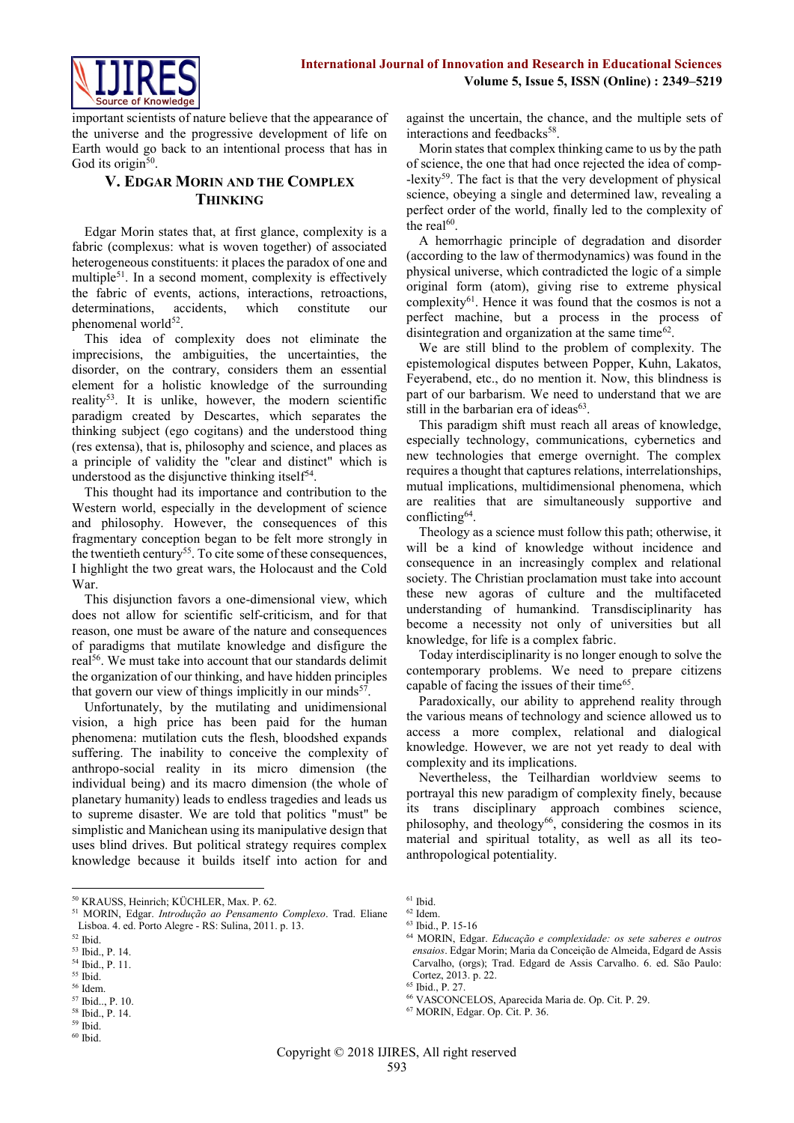

important scientists of nature believe that the appearance of the universe and the progressive development of life on Earth would go back to an intentional process that has in God its origin<sup>50</sup>.

## **V. EDGAR MORIN AND THE COMPLEX THINKING**

Edgar Morin states that, at first glance, complexity is a fabric (complexus: what is woven together) of associated heterogeneous constituents: it places the paradox of one and multiple<sup>51</sup>. In a second moment, complexity is effectively the fabric of events, actions, interactions, retroactions, determinations, accidents, which constitute our phenomenal world<sup>52</sup>.

This idea of complexity does not eliminate the imprecisions, the ambiguities, the uncertainties, the disorder, on the contrary, considers them an essential element for a holistic knowledge of the surrounding reality<sup>53</sup>. It is unlike, however, the modern scientific paradigm created by Descartes, which separates the thinking subject (ego cogitans) and the understood thing (res extensa), that is, philosophy and science, and places as a principle of validity the "clear and distinct" which is understood as the disjunctive thinking itself $54$ .

This thought had its importance and contribution to the Western world, especially in the development of science and philosophy. However, the consequences of this fragmentary conception began to be felt more strongly in the twentieth century<sup>55</sup>. To cite some of these consequences, I highlight the two great wars, the Holocaust and the Cold War.

This disjunction favors a one-dimensional view, which does not allow for scientific self-criticism, and for that reason, one must be aware of the nature and consequences of paradigms that mutilate knowledge and disfigure the real<sup>56</sup>. We must take into account that our standards delimit the organization of our thinking, and have hidden principles that govern our view of things implicitly in our minds<sup>57</sup>.

Unfortunately, by the mutilating and unidimensional vision, a high price has been paid for the human phenomena: mutilation cuts the flesh, bloodshed expands suffering. The inability to conceive the complexity of anthropo-social reality in its micro dimension (the individual being) and its macro dimension (the whole of planetary humanity) leads to endless tragedies and leads us to supreme disaster. We are told that politics "must" be simplistic and Manichean using its manipulative design that uses blind drives. But political strategy requires complex knowledge because it builds itself into action for and

<sup>50</sup> KRAUSS, Heinrich; KÜCHLER, Max. P. 62.

**.** 

<sup>58</sup> Ibid., P. 14. <sup>59</sup> Ibid.

against the uncertain, the chance, and the multiple sets of interactions and feedbacks<sup>58</sup>.

Morin states that complex thinking came to us by the path of science, the one that had once rejected the idea of comp-  $-$ lexity<sup>59</sup>. The fact is that the very development of physical science, obeying a single and determined law, revealing a perfect order of the world, finally led to the complexity of the real $^{60}$ .

A hemorrhagic principle of degradation and disorder (according to the law of thermodynamics) was found in the physical universe, which contradicted the logic of a simple original form (atom), giving rise to extreme physical complexity<sup>61</sup>. Hence it was found that the cosmos is not a perfect machine, but a process in the process of disintegration and organization at the same time $62$ .

We are still blind to the problem of complexity. The epistemological disputes between Popper, Kuhn, Lakatos, Feyerabend, etc., do no mention it. Now, this blindness is part of our barbarism. We need to understand that we are still in the barbarian era of ideas<sup>63</sup>.

This paradigm shift must reach all areas of knowledge, especially technology, communications, cybernetics and new technologies that emerge overnight. The complex requires a thought that captures relations, interrelationships, mutual implications, multidimensional phenomena, which are realities that are simultaneously supportive and conflicting<sup>64</sup> .

Theology as a science must follow this path; otherwise, it will be a kind of knowledge without incidence and consequence in an increasingly complex and relational society. The Christian proclamation must take into account these new agoras of culture and the multifaceted understanding of humankind. Transdisciplinarity has become a necessity not only of universities but all knowledge, for life is a complex fabric.

Today interdisciplinarity is no longer enough to solve the contemporary problems. We need to prepare citizens capable of facing the issues of their time<sup>65</sup>.

Paradoxically, our ability to apprehend reality through the various means of technology and science allowed us to access a more complex, relational and dialogical knowledge. However, we are not yet ready to deal with complexity and its implications.

Nevertheless, the Teilhardian worldview seems to portrayal this new paradigm of complexity finely, because its trans disciplinary approach combines science, philosophy, and theology<sup>66</sup>, considering the cosmos in its material and spiritual totality, as well as all its teoanthropological potentiality.

<sup>66</sup> VASCONCELOS, Aparecida Maria de. Op. Cit. P. 29.

<sup>51</sup> MORIN, Edgar. *Introdução ao Pensamento Complexo*. Trad. Eliane Lisboa. 4. ed. Porto Alegre - RS: Sulina, 2011. p. 13.

<sup>52</sup> Ibid.

<sup>53</sup> Ibid., P. 14.

<sup>54</sup> Ibid., P. 11.

<sup>55</sup> Ibid.

<sup>56</sup> Idem.

<sup>57</sup> Ibid.., P. 10.

 $60$  Ibid.

 $61$  Ibid.

 $62$  Idem.

<sup>63</sup> Ibid., P. 15-16

<sup>64</sup> MORIN, Edgar. *Educação e complexidade: os sete saberes e outros ensaios*. Edgar Morin; Maria da Conceição de Almeida, Edgard de Assis Carvalho, (orgs); Trad. Edgard de Assis Carvalho. 6. ed. São Paulo: Cortez, 2013. p. 22.

<sup>65</sup> Ibid., P. 27.

<sup>67</sup> MORIN, Edgar. Op. Cit. P. 36.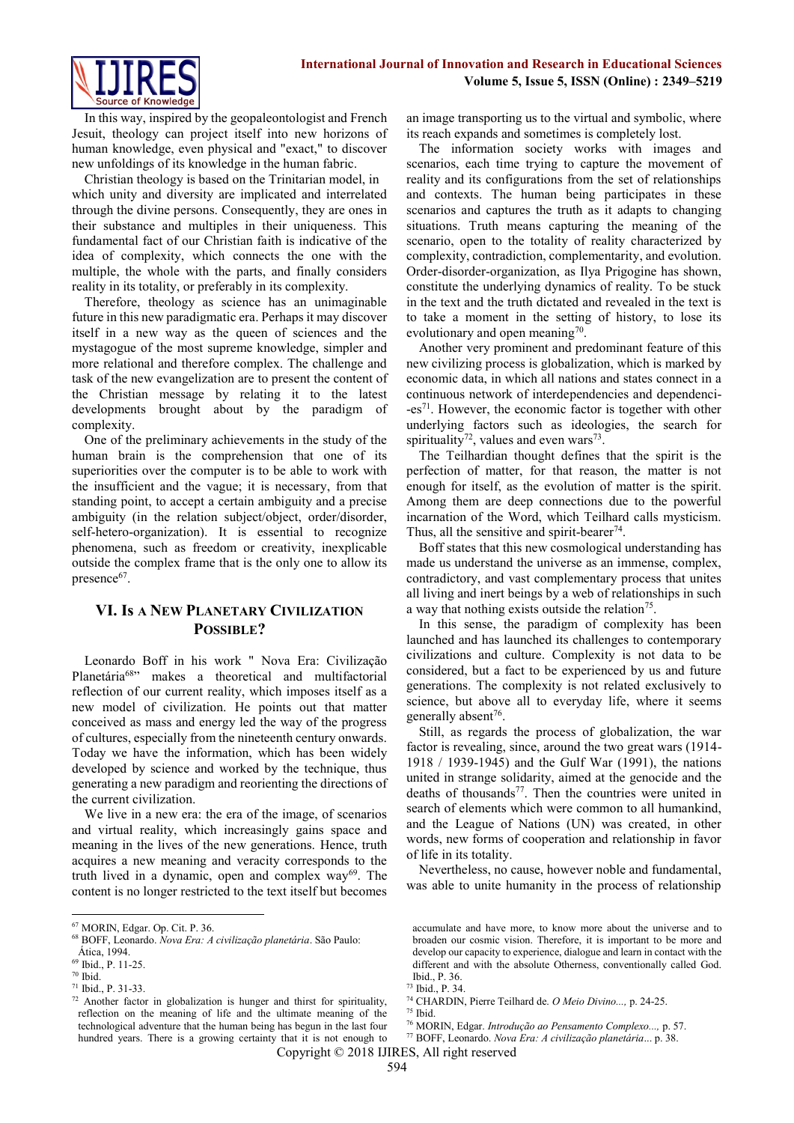

In this way, inspired by the geopaleontologist and French Jesuit, theology can project itself into new horizons of human knowledge, even physical and "exact," to discover new unfoldings of its knowledge in the human fabric.

Christian theology is based on the Trinitarian model, in which unity and diversity are implicated and interrelated through the divine persons. Consequently, they are ones in their substance and multiples in their uniqueness. This fundamental fact of our Christian faith is indicative of the idea of complexity, which connects the one with the multiple, the whole with the parts, and finally considers reality in its totality, or preferably in its complexity.

Therefore, theology as science has an unimaginable future in this new paradigmatic era. Perhaps it may discover itself in a new way as the queen of sciences and the mystagogue of the most supreme knowledge, simpler and more relational and therefore complex. The challenge and task of the new evangelization are to present the content of the Christian message by relating it to the latest developments brought about by the paradigm of complexity.

One of the preliminary achievements in the study of the human brain is the comprehension that one of its superiorities over the computer is to be able to work with the insufficient and the vague; it is necessary, from that standing point, to accept a certain ambiguity and a precise ambiguity (in the relation subject/object, order/disorder, self-hetero-organization). It is essential to recognize phenomena, such as freedom or creativity, inexplicable outside the complex frame that is the only one to allow its presence<sup>67</sup>.

## **VI. Is A NEW PLANETARY CIVILIZATION POSSIBLE?**

Leonardo Boff in his work " Nova Era: Civilização Planetária<sup>68</sup>" makes a theoretical and multifactorial reflection of our current reality, which imposes itself as a new model of civilization. He points out that matter conceived as mass and energy led the way of the progress of cultures, especially from the nineteenth century onwards. Today we have the information, which has been widely developed by science and worked by the technique, thus generating a new paradigm and reorienting the directions of the current civilization.

We live in a new era: the era of the image, of scenarios and virtual reality, which increasingly gains space and meaning in the lives of the new generations. Hence, truth acquires a new meaning and veracity corresponds to the truth lived in a dynamic, open and complex way $69$ . The content is no longer restricted to the text itself but becomes

**.** 

an image transporting us to the virtual and symbolic, where its reach expands and sometimes is completely lost.

The information society works with images and scenarios, each time trying to capture the movement of reality and its configurations from the set of relationships and contexts. The human being participates in these scenarios and captures the truth as it adapts to changing situations. Truth means capturing the meaning of the scenario, open to the totality of reality characterized by complexity, contradiction, complementarity, and evolution. Order-disorder-organization, as Ilya Prigogine has shown, constitute the underlying dynamics of reality. To be stuck in the text and the truth dictated and revealed in the text is to take a moment in the setting of history, to lose its evolutionary and open meaning $\frac{70}{2}$ .

Another very prominent and predominant feature of this new civilizing process is globalization, which is marked by economic data, in which all nations and states connect in a continuous network of interdependencies and dependenci- -es<sup>71</sup>. However, the economic factor is together with other underlying factors such as ideologies, the search for spirituality<sup>72</sup>, values and even wars<sup>73</sup>.

The Teilhardian thought defines that the spirit is the perfection of matter, for that reason, the matter is not enough for itself, as the evolution of matter is the spirit. Among them are deep connections due to the powerful incarnation of the Word, which Teilhard calls mysticism. Thus, all the sensitive and spirit-bearer $74$ .

Boff states that this new cosmological understanding has made us understand the universe as an immense, complex, contradictory, and vast complementary process that unites all living and inert beings by a web of relationships in such a way that nothing exists outside the relation<sup>75</sup>.

In this sense, the paradigm of complexity has been launched and has launched its challenges to contemporary civilizations and culture. Complexity is not data to be considered, but a fact to be experienced by us and future generations. The complexity is not related exclusively to science, but above all to everyday life, where it seems generally absent<sup>76</sup>.

Still, as regards the process of globalization, the war factor is revealing, since, around the two great wars (1914- 1918 / 1939-1945) and the Gulf War (1991), the nations united in strange solidarity, aimed at the genocide and the deaths of thousands<sup>77</sup>. Then the countries were united in search of elements which were common to all humankind, and the League of Nations (UN) was created, in other words, new forms of cooperation and relationship in favor of life in its totality.

Nevertheless, no cause, however noble and fundamental, was able to unite humanity in the process of relationship

Copyright © 2018 IJIRES, All right reserved

<sup>67</sup> MORIN, Edgar. Op. Cit. P. 36.

<sup>68</sup> BOFF, Leonardo. *Nova Era: A civilização planetária*. São Paulo:

Ática, 1994. <sup>69</sup> Ibid., P. 11-25.

<sup>70</sup> Ibid.

<sup>71</sup> Ibid., P. 31-33.

 $72$  Another factor in globalization is hunger and thirst for spirituality, reflection on the meaning of life and the ultimate meaning of the technological adventure that the human being has begun in the last four hundred years. There is a growing certainty that it is not enough to

accumulate and have more, to know more about the universe and to broaden our cosmic vision. Therefore, it is important to be more and develop our capacity to experience, dialogue and learn in contact with the different and with the absolute Otherness, conventionally called God. Ibid., P. 36.

<sup>73</sup> Ibid., P. 34.

<sup>74</sup> CHARDIN, Pierre Teilhard de. *O Meio Divino...,* p. 24-25.

 $75$  Ibid.

<sup>76</sup> MORIN, Edgar. *Introdução ao Pensamento Complexo...,* p. 57. <sup>77</sup> BOFF, Leonardo. *Nova Era: A civilização planetária*... p. 38.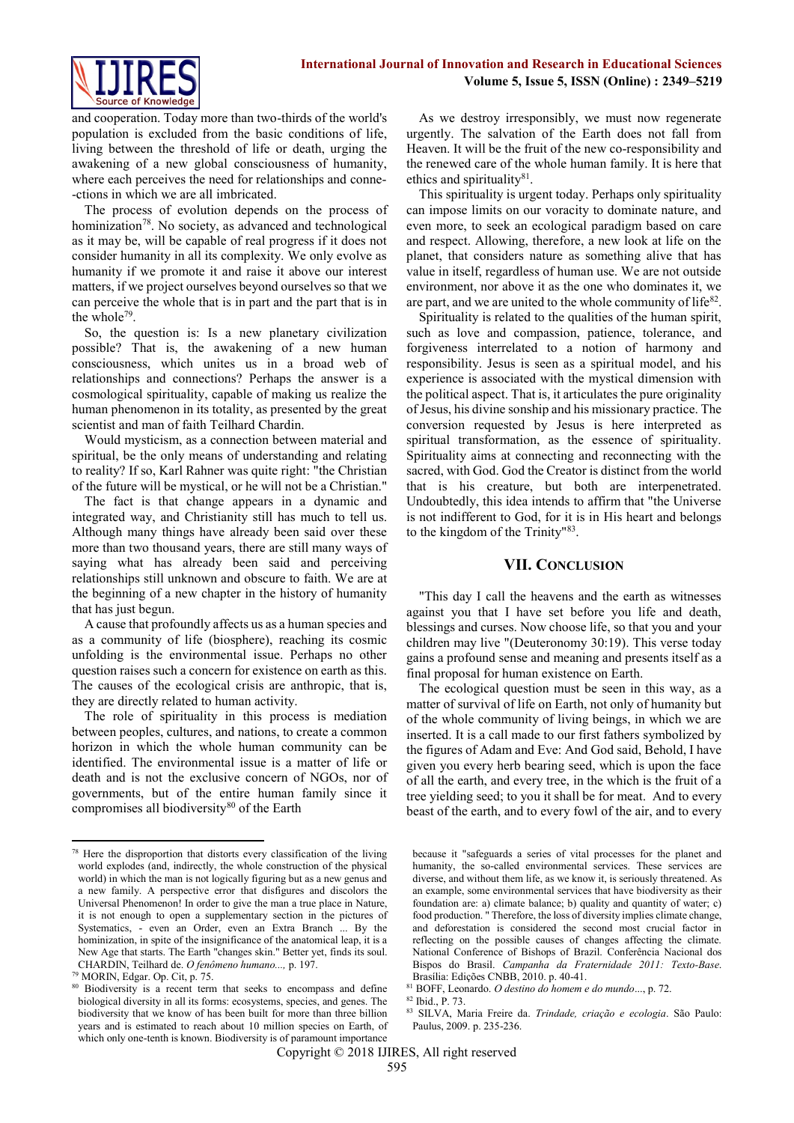

and cooperation. Today more than two-thirds of the world's population is excluded from the basic conditions of life, living between the threshold of life or death, urging the awakening of a new global consciousness of humanity, where each perceives the need for relationships and conne- -ctions in which we are all imbricated.

The process of evolution depends on the process of hominization<sup>78</sup>. No society, as advanced and technological as it may be, will be capable of real progress if it does not consider humanity in all its complexity. We only evolve as humanity if we promote it and raise it above our interest matters, if we project ourselves beyond ourselves so that we can perceive the whole that is in part and the part that is in the whole<sup>79</sup>.

So, the question is: Is a new planetary civilization possible? That is, the awakening of a new human consciousness, which unites us in a broad web of relationships and connections? Perhaps the answer is a cosmological spirituality, capable of making us realize the human phenomenon in its totality, as presented by the great scientist and man of faith Teilhard Chardin.

Would mysticism, as a connection between material and spiritual, be the only means of understanding and relating to reality? If so, Karl Rahner was quite right: "the Christian of the future will be mystical, or he will not be a Christian."

The fact is that change appears in a dynamic and integrated way, and Christianity still has much to tell us. Although many things have already been said over these more than two thousand years, there are still many ways of saying what has already been said and perceiving relationships still unknown and obscure to faith. We are at the beginning of a new chapter in the history of humanity that has just begun.

A cause that profoundly affects us as a human species and as a community of life (biosphere), reaching its cosmic unfolding is the environmental issue. Perhaps no other question raises such a concern for existence on earth as this. The causes of the ecological crisis are anthropic, that is, they are directly related to human activity.

The role of spirituality in this process is mediation between peoples, cultures, and nations, to create a common horizon in which the whole human community can be identified. The environmental issue is a matter of life or death and is not the exclusive concern of NGOs, nor of governments, but of the entire human family since it compromises all biodiversity<sup>80</sup> of the Earth

 $\overline{a}$ 

As we destroy irresponsibly, we must now regenerate urgently. The salvation of the Earth does not fall from Heaven. It will be the fruit of the new co-responsibility and the renewed care of the whole human family. It is here that ethics and spirituality $81$ .

This spirituality is urgent today. Perhaps only spirituality can impose limits on our voracity to dominate nature, and even more, to seek an ecological paradigm based on care and respect. Allowing, therefore, a new look at life on the planet, that considers nature as something alive that has value in itself, regardless of human use. We are not outside environment, nor above it as the one who dominates it, we are part, and we are united to the whole community of life<sup>82</sup>.

Spirituality is related to the qualities of the human spirit, such as love and compassion, patience, tolerance, and forgiveness interrelated to a notion of harmony and responsibility. Jesus is seen as a spiritual model, and his experience is associated with the mystical dimension with the political aspect. That is, it articulates the pure originality of Jesus, his divine sonship and his missionary practice. The conversion requested by Jesus is here interpreted as spiritual transformation, as the essence of spirituality. Spirituality aims at connecting and reconnecting with the sacred, with God. God the Creator is distinct from the world that is his creature, but both are interpenetrated. Undoubtedly, this idea intends to affirm that "the Universe is not indifferent to God, for it is in His heart and belongs to the kingdom of the Trinity"<sup>83</sup> .

#### **VII. CONCLUSION**

"This day I call the heavens and the earth as witnesses against you that I have set before you life and death, blessings and curses. Now choose life, so that you and your children may live "(Deuteronomy 30:19). This verse today gains a profound sense and meaning and presents itself as a final proposal for human existence on Earth.

The ecological question must be seen in this way, as a matter of survival of life on Earth, not only of humanity but of the whole community of living beings, in which we are inserted. It is a call made to our first fathers symbolized by the figures of Adam and Eve: And God said, Behold, I have given you every herb bearing seed, which is upon the face of all the earth, and every tree, in the which is the fruit of a tree yielding seed; to you it shall be for meat. And to every beast of the earth, and to every fowl of the air, and to every

 $78$  Here the disproportion that distorts every classification of the living world explodes (and, indirectly, the whole construction of the physical world) in which the man is not logically figuring but as a new genus and a new family. A perspective error that disfigures and discolors the Universal Phenomenon! In order to give the man a true place in Nature, it is not enough to open a supplementary section in the pictures of Systematics, - even an Order, even an Extra Branch ... By the hominization, in spite of the insignificance of the anatomical leap, it is a New Age that starts. The Earth "changes skin." Better yet, finds its soul. CHARDIN, Teilhard de. *O fenômeno humano...,* p. 197.

<sup>79</sup> MORIN, Edgar. Op. Cit, p. 75.

<sup>&</sup>lt;sup>80</sup> Biodiversity is a recent term that seeks to encompass and define biological diversity in all its forms: ecosystems, species, and genes. The biodiversity that we know of has been built for more than three billion years and is estimated to reach about 10 million species on Earth, of which only one-tenth is known. Biodiversity is of paramount importance

because it "safeguards a series of vital processes for the planet and humanity, the so-called environmental services. These services are diverse, and without them life, as we know it, is seriously threatened. As an example, some environmental services that have biodiversity as their foundation are: a) climate balance; b) quality and quantity of water; c) food production. " Therefore, the loss of diversity implies climate change, and deforestation is considered the second most crucial factor in reflecting on the possible causes of changes affecting the climate. National Conference of Bishops of Brazil. Conferência Nacional dos Bispos do Brasil. *Campanha da Fraternidade 2011: Texto-Base*. Brasília: Edições CNBB, 2010. p. 40-41.

<sup>81</sup> BOFF, Leonardo. *O destino do homem e do mundo*..., p. 72.

<sup>82</sup> Ibid., P. 73.

<sup>83</sup> SILVA, Maria Freire da. *Trindade, criação e ecologia*. São Paulo: Paulus, 2009. p. 235-236.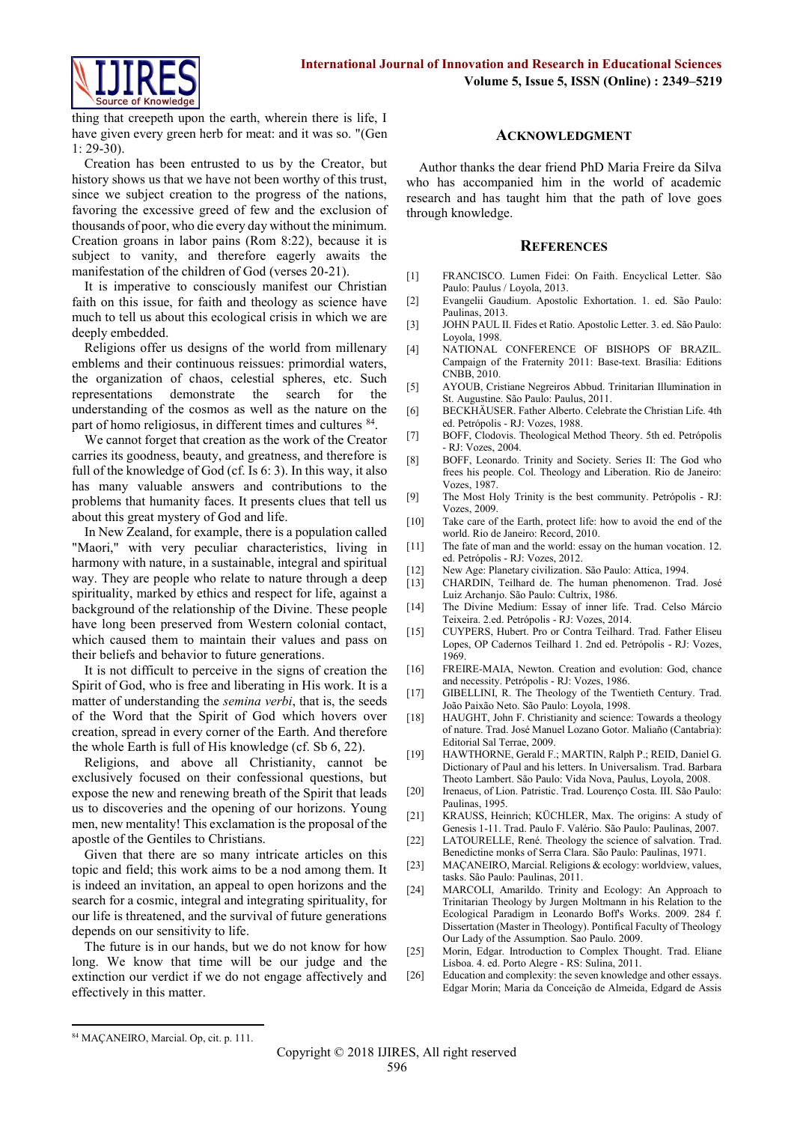

thing that creepeth upon the earth, wherein there is life, I have given every green herb for meat: and it was so. "(Gen 1: 29-30).

Creation has been entrusted to us by the Creator, but history shows us that we have not been worthy of this trust, since we subject creation to the progress of the nations, favoring the excessive greed of few and the exclusion of thousands of poor, who die every day without the minimum. Creation groans in labor pains (Rom 8:22), because it is subject to vanity, and therefore eagerly awaits the manifestation of the children of God (verses 20-21).

It is imperative to consciously manifest our Christian faith on this issue, for faith and theology as science have much to tell us about this ecological crisis in which we are deeply embedded.

Religions offer us designs of the world from millenary emblems and their continuous reissues: primordial waters, the organization of chaos, celestial spheres, etc. Such representations demonstrate the search for the understanding of the cosmos as well as the nature on the part of homo religiosus, in different times and cultures <sup>84</sup>.

We cannot forget that creation as the work of the Creator carries its goodness, beauty, and greatness, and therefore is full of the knowledge of God (cf. Is 6: 3). In this way, it also has many valuable answers and contributions to the problems that humanity faces. It presents clues that tell us about this great mystery of God and life.

In New Zealand, for example, there is a population called "Maori," with very peculiar characteristics, living in harmony with nature, in a sustainable, integral and spiritual way. They are people who relate to nature through a deep spirituality, marked by ethics and respect for life, against a background of the relationship of the Divine. These people have long been preserved from Western colonial contact, which caused them to maintain their values and pass on their beliefs and behavior to future generations.

It is not difficult to perceive in the signs of creation the Spirit of God, who is free and liberating in His work. It is a matter of understanding the *semina verbi*, that is, the seeds of the Word that the Spirit of God which hovers over creation, spread in every corner of the Earth. And therefore the whole Earth is full of His knowledge (cf. Sb 6, 22).

Religions, and above all Christianity, cannot be exclusively focused on their confessional questions, but expose the new and renewing breath of the Spirit that leads us to discoveries and the opening of our horizons. Young men, new mentality! This exclamation is the proposal of the apostle of the Gentiles to Christians.

Given that there are so many intricate articles on this topic and field; this work aims to be a nod among them. It is indeed an invitation, an appeal to open horizons and the search for a cosmic, integral and integrating spirituality, for our life is threatened, and the survival of future generations depends on our sensitivity to life.

The future is in our hands, but we do not know for how long. We know that time will be our judge and the extinction our verdict if we do not engage affectively and effectively in this matter.

#### **ACKNOWLEDGMENT**

Author thanks the dear friend PhD Maria Freire da Silva who has accompanied him in the world of academic research and has taught him that the path of love goes through knowledge.

#### **REFERENCES**

- [1] FRANCISCO. Lumen Fidei: On Faith. Encyclical Letter. São Paulo: Paulus / Loyola, 2013.
- [2] Evangelii Gaudium. Apostolic Exhortation. 1. ed. São Paulo: Paulinas, 2013.
- [3] JOHN PAUL II. Fides et Ratio. Apostolic Letter. 3. ed. São Paulo: Loyola, 1998.
- [4] NATIONAL CONFERENCE OF BISHOPS OF BRAZIL. Campaign of the Fraternity 2011: Base-text. Brasília: Editions CNBB, 2010.
- [5] AYOUB, Cristiane Negreiros Abbud. Trinitarian Illumination in St. Augustine. São Paulo: Paulus, 2011.
- [6] BECKHÄUSER. Father Alberto. Celebrate the Christian Life. 4th ed. Petrópolis - RJ: Vozes, 1988.
- [7] BOFF, Clodovis. Theological Method Theory. 5th ed. Petrópolis - RJ: Vozes, 2004.
- [8] BOFF, Leonardo. Trinity and Society. Series II: The God who frees his people. Col. Theology and Liberation. Rio de Janeiro: Vozes, 1987.
- [9] The Most Holy Trinity is the best community. Petrópolis RJ: Vozes, 2009.
- [10] Take care of the Earth, protect life: how to avoid the end of the world. Rio de Janeiro: Record, 2010.
- [11] The fate of man and the world: essay on the human vocation. 12. ed. Petrópolis - RJ: Vozes, 2012.
- [12] New Age: Planetary civilization. São Paulo: Attica, 1994.
- [13] CHARDIN, Teilhard de. The human phenomenon. Trad. José Luiz Archanjo. São Paulo: Cultrix, 1986.
- [14] The Divine Medium: Essay of inner life. Trad. Celso Márcio Teixeira. 2.ed. Petrópolis - RJ: Vozes, 2014.
- [15] CUYPERS, Hubert. Pro or Contra Teilhard. Trad. Father Eliseu Lopes, OP Cadernos Teilhard 1. 2nd ed. Petrópolis - RJ: Vozes, 1969.
- [16] FREIRE-MAIA, Newton. Creation and evolution: God, chance and necessity. Petrópolis - RJ: Vozes, 1986.
- [17] GIBELLINI, R. The Theology of the Twentieth Century. Trad. João Paixão Neto. São Paulo: Loyola, 1998.
- [18] HAUGHT, John F. Christianity and science: Towards a theology of nature. Trad. José Manuel Lozano Gotor. Maliaño (Cantabria): Editorial Sal Terrae, 2009.
- [19] HAWTHORNE, Gerald F.; MARTIN, Ralph P.; REID, Daniel G. Dictionary of Paul and his letters. In Universalism. Trad. Barbara Theoto Lambert. São Paulo: Vida Nova, Paulus, Loyola, 2008.
- [20] Irenaeus, of Lion. Patristic. Trad. Lourenço Costa. III. São Paulo: Paulinas, 1995.
- [21] KRAUSS, Heinrich; KÜCHLER, Max. The origins: A study of Genesis 1-11. Trad. Paulo F. Valério. São Paulo: Paulinas, 2007.
- [22] LATOURELLE, René. Theology the science of salvation. Trad. Benedictine monks of Serra Clara. São Paulo: Paulinas, 1971.
- [23] MAÇANEIRO, Marcial. Religions & ecology: worldview, values, tasks. São Paulo: Paulinas, 2011.
- [24] MARCOLI, Amarildo. Trinity and Ecology: An Approach to Trinitarian Theology by Jurgen Moltmann in his Relation to the Ecological Paradigm in Leonardo Boff's Works. 2009. 284 f. Dissertation (Master in Theology). Pontifical Faculty of Theology Our Lady of the Assumption. Sao Paulo. 2009.
- [25] Morin, Edgar. Introduction to Complex Thought. Trad. Eliane Lisboa. 4. ed. Porto Alegre - RS: Sulina, 2011.
- [26] Education and complexity: the seven knowledge and other essays. Edgar Morin; Maria da Conceição de Almeida, Edgard de Assis

**.** 

<sup>84</sup> MAÇANEIRO, Marcial. Op, cit. p. 111.